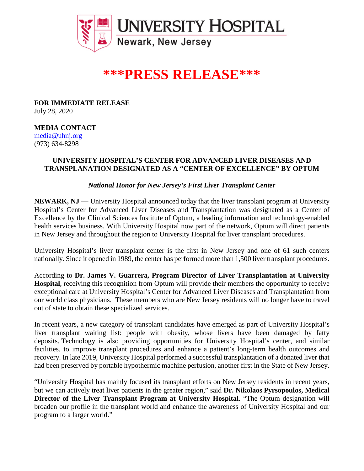

# **\*\*\*PRESS RELEASE\*\*\***

**FOR IMMEDIATE RELEASE** July 28, 2020

## **MEDIA CONTACT**

[media@uhnj.org](about:blank) (973) 634-8298

## **UNIVERSITY HOSPITAL'S CENTER FOR ADVANCED LIVER DISEASES AND TRANSPLANATION DESIGNATED AS A "CENTER OF EXCELLENCE" BY OPTUM**

*National Honor for New Jersey's First Liver Transplant Center*

**NEWARK, NJ —** University Hospital announced today that the liver transplant program at University Hospital's Center for Advanced Liver Diseases and Transplantation was designated as a Center of Excellence by the Clinical Sciences Institute of Optum, a leading information and technology-enabled health services business. With University Hospital now part of the network, Optum will direct patients in New Jersey and throughout the region to University Hospital for liver transplant procedures.

University Hospital's liver transplant center is the first in New Jersey and one of 61 such centers nationally. Since it opened in 1989, the center has performed more than 1,500 liver transplant procedures.

According to **Dr. James V. Guarrera, Program Director of Liver Transplantation at University Hospital**, receiving this recognition from Optum will provide their members the opportunity to receive exceptional care at University Hospital's Center for Advanced Liver Diseases and Transplantation from our world class physicians. These members who are New Jersey residents will no longer have to travel out of state to obtain these specialized services.

In recent years, a new category of transplant candidates have emerged as part of University Hospital's liver transplant waiting list: people with obesity, whose livers have been damaged by fatty deposits. Technology is also providing opportunities for University Hospital's center, and similar facilities, to improve transplant procedures and enhance a patient's long-term health outcomes and recovery. In late 2019, University Hospital performed a successful transplantation of a donated liver that had been preserved by portable hypothermic machine perfusion, another first in the State of New Jersey.

"University Hospital has mainly focused its transplant efforts on New Jersey residents in recent years, but we can actively treat liver patients in the greater region," said **Dr. Nikolaos Pyrsopoulos, Medical Director of the Liver Transplant Program at University Hospital**. "The Optum designation will broaden our profile in the transplant world and enhance the awareness of University Hospital and our program to a larger world."